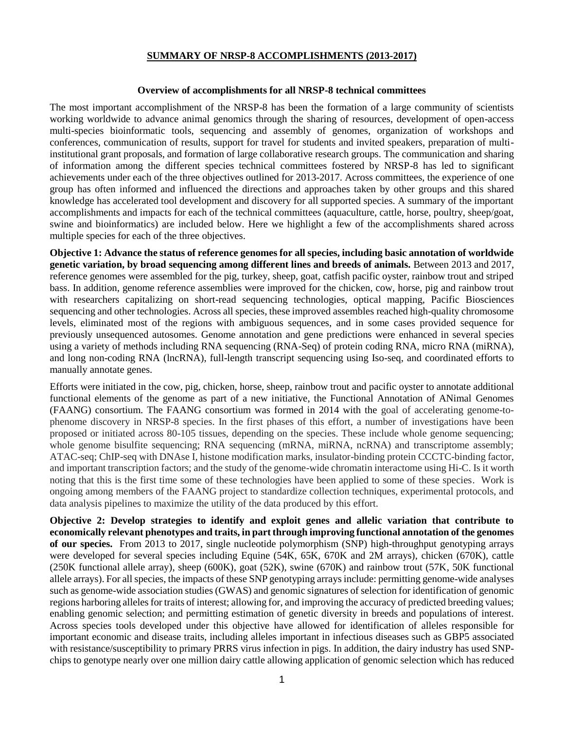### **SUMMARY OF NRSP-8 ACCOMPLISHMENTS (2013-2017)**

#### **Overview of accomplishments for all NRSP-8 technical committees**

The most important accomplishment of the NRSP-8 has been the formation of a large community of scientists working worldwide to advance animal genomics through the sharing of resources, development of open-access multi-species bioinformatic tools, sequencing and assembly of genomes, organization of workshops and conferences, communication of results, support for travel for students and invited speakers, preparation of multiinstitutional grant proposals, and formation of large collaborative research groups. The communication and sharing of information among the different species technical committees fostered by NRSP-8 has led to significant achievements under each of the three objectives outlined for 2013-2017. Across committees, the experience of one group has often informed and influenced the directions and approaches taken by other groups and this shared knowledge has accelerated tool development and discovery for all supported species. A summary of the important accomplishments and impacts for each of the technical committees (aquaculture, cattle, horse, poultry, sheep/goat, swine and bioinformatics) are included below. Here we highlight a few of the accomplishments shared across multiple species for each of the three objectives.

**Objective 1: Advance the status of reference genomes for all species, including basic annotation of worldwide genetic variation, by broad sequencing among different lines and breeds of animals.** Between 2013 and 2017, reference genomes were assembled for the pig, turkey, sheep, goat, catfish pacific oyster, rainbow trout and striped bass. In addition, genome reference assemblies were improved for the chicken, cow, horse, pig and rainbow trout with researchers capitalizing on short-read sequencing technologies, optical mapping, Pacific Biosciences sequencing and other technologies. Across all species, these improved assembles reached high-quality chromosome levels, eliminated most of the regions with ambiguous sequences, and in some cases provided sequence for previously unsequenced autosomes. Genome annotation and gene predictions were enhanced in several species using a variety of methods including RNA sequencing (RNA-Seq) of protein coding RNA, micro RNA (miRNA), and long non-coding RNA (lncRNA), full-length transcript sequencing using Iso-seq, and coordinated efforts to manually annotate genes.

Efforts were initiated in the cow, pig, chicken, horse, sheep, rainbow trout and pacific oyster to annotate additional functional elements of the genome as part of a new initiative, the Functional Annotation of ANimal Genomes (FAANG) consortium. The FAANG consortium was formed in 2014 with the goal of accelerating genome-tophenome discovery in NRSP-8 species. In the first phases of this effort, a number of investigations have been proposed or initiated across 80-105 tissues, depending on the species. These include whole genome sequencing; whole genome bisulfite sequencing; RNA sequencing (mRNA, miRNA, ncRNA) and transcriptome assembly; ATAC-seq; ChIP-seq with DNAse I, histone modification marks, insulator-binding protein CCCTC-binding factor, and important transcription factors; and the study of the genome-wide chromatin interactome using Hi-C. Is it worth noting that this is the first time some of these technologies have been applied to some of these species. Work is ongoing among members of the FAANG project to standardize collection techniques, experimental protocols, and data analysis pipelines to maximize the utility of the data produced by this effort.

**Objective 2: Develop strategies to identify and exploit genes and allelic variation that contribute to economically relevant phenotypes and traits, in part through improving functional annotation of the genomes of our species.** From 2013 to 2017, single nucleotide polymorphism (SNP) high-throughput genotyping arrays were developed for several species including Equine (54K, 65K, 670K and 2M arrays), chicken (670K), cattle (250K functional allele array), sheep (600K), goat (52K), swine (670K) and rainbow trout (57K, 50K functional allele arrays). For all species, the impacts of these SNP genotyping arrays include: permitting genome-wide analyses such as genome-wide association studies (GWAS) and genomic signatures of selection for identification of genomic regions harboring alleles for traits of interest; allowing for, and improving the accuracy of predicted breeding values; enabling genomic selection; and permitting estimation of genetic diversity in breeds and populations of interest. Across species tools developed under this objective have allowed for identification of alleles responsible for important economic and disease traits, including alleles important in infectious diseases such as GBP5 associated with resistance/susceptibility to primary PRRS virus infection in pigs. In addition, the dairy industry has used SNPchips to genotype nearly over one million dairy cattle allowing application of genomic selection which has reduced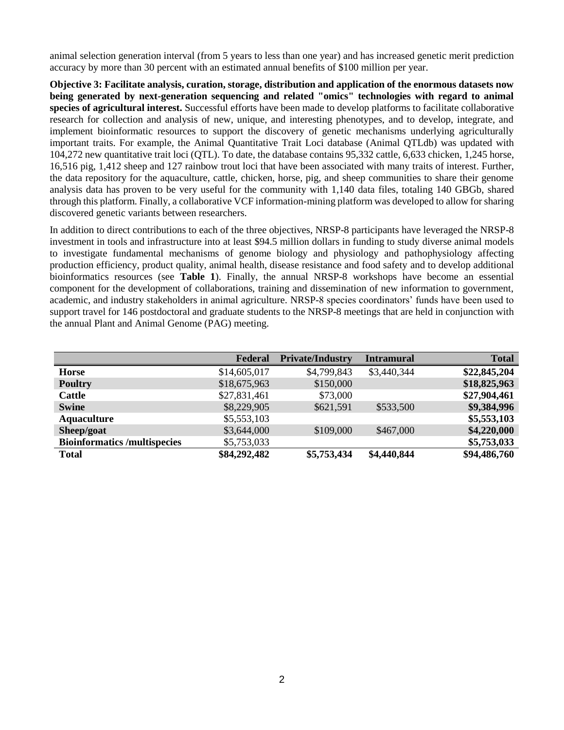animal selection generation interval (from 5 years to less than one year) and has increased genetic merit prediction accuracy by more than 30 percent with an estimated annual benefits of \$100 million per year.

**Objective 3: Facilitate analysis, curation, storage, distribution and application of the enormous datasets now being generated by next-generation sequencing and related "omics" technologies with regard to animal species of agricultural interest.** Successful efforts have been made to develop platforms to facilitate collaborative research for collection and analysis of new, unique, and interesting phenotypes, and to develop, integrate, and implement bioinformatic resources to support the discovery of genetic mechanisms underlying agriculturally important traits. For example, the Animal Quantitative Trait Loci database (Animal QTLdb) was updated with 104,272 new quantitative trait loci (QTL). To date, the database contains 95,332 cattle, 6,633 chicken, 1,245 horse, 16,516 pig, 1,412 sheep and 127 rainbow trout loci that have been associated with many traits of interest. Further, the data repository for the aquaculture, cattle, chicken, horse, pig, and sheep communities to share their genome analysis data has proven to be very useful for the community with 1,140 data files, totaling 140 GBGb, shared through this platform. Finally, a collaborative VCF information-mining platform was developed to allow for sharing discovered genetic variants between researchers.

In addition to direct contributions to each of the three objectives, NRSP-8 participants have leveraged the NRSP-8 investment in tools and infrastructure into at least \$94.5 million dollars in funding to study diverse animal models to investigate fundamental mechanisms of genome biology and physiology and pathophysiology affecting production efficiency, product quality, animal health, disease resistance and food safety and to develop additional bioinformatics resources (see **Table 1**). Finally, the annual NRSP-8 workshops have become an essential component for the development of collaborations, training and dissemination of new information to government, academic, and industry stakeholders in animal agriculture. NRSP-8 species coordinators' funds have been used to support travel for 146 postdoctoral and graduate students to the NRSP-8 meetings that are held in conjunction with the annual Plant and Animal Genome (PAG) meeting.

|                                    | Federal      | <b>Private/Industry</b> | <b>Intramural</b> | <b>Total</b> |
|------------------------------------|--------------|-------------------------|-------------------|--------------|
| <b>Horse</b>                       | \$14,605,017 | \$4,799,843             | \$3,440,344       | \$22,845,204 |
| <b>Poultry</b>                     | \$18,675,963 | \$150,000               |                   | \$18,825,963 |
| <b>Cattle</b>                      | \$27,831,461 | \$73,000                |                   | \$27,904,461 |
| <b>Swine</b>                       | \$8,229,905  | \$621,591               | \$533,500         | \$9,384,996  |
| <b>Aquaculture</b>                 | \$5,553,103  |                         |                   | \$5,553,103  |
| Sheep/goat                         | \$3,644,000  | \$109,000               | \$467,000         | \$4,220,000  |
| <b>Bioinformatics/multispecies</b> | \$5,753,033  |                         |                   | \$5,753,033  |
| <b>Total</b>                       | \$84,292,482 | \$5,753,434             | \$4,440,844       | \$94,486,760 |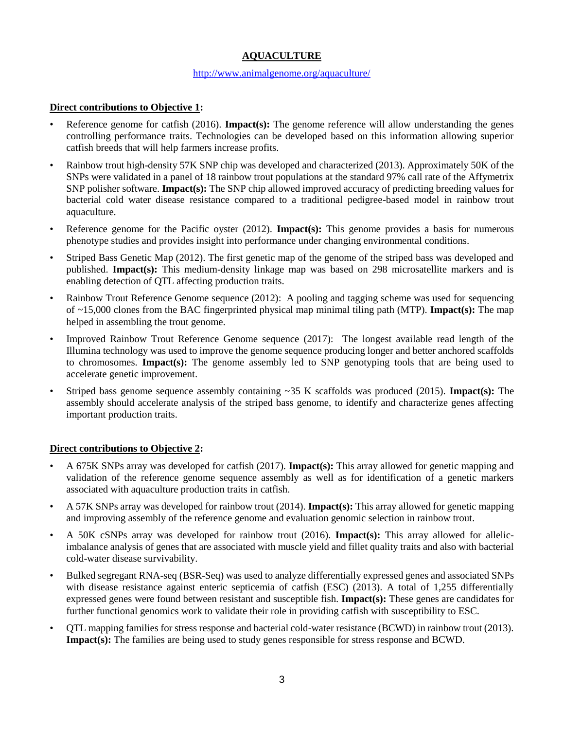# **AQUACULTURE**

#### <http://www.animalgenome.org/aquaculture/>

### **Direct contributions to Objective 1:**

- Reference genome for catfish (2016). **Impact(s):** The genome reference will allow understanding the genes controlling performance traits. Technologies can be developed based on this information allowing superior catfish breeds that will help farmers increase profits.
- Rainbow trout high-density 57K SNP chip was developed and characterized (2013). Approximately 50K of the SNPs were validated in a panel of 18 rainbow trout populations at the standard 97% call rate of the Affymetrix SNP polisher software. **Impact(s):** The SNP chip allowed improved accuracy of predicting breeding values for bacterial cold water disease resistance compared to a traditional pedigree-based model in rainbow trout aquaculture.
- Reference genome for the Pacific oyster (2012). **Impact(s):** This genome provides a basis for numerous phenotype studies and provides insight into performance under changing environmental conditions.
- Striped Bass Genetic Map (2012). The first genetic map of the genome of the striped bass was developed and published. **Impact(s):** This medium-density linkage map was based on 298 microsatellite markers and is enabling detection of QTL affecting production traits.
- Rainbow Trout Reference Genome sequence (2012): A pooling and tagging scheme was used for sequencing of ~15,000 clones from the BAC fingerprinted physical map minimal tiling path (MTP). **Impact(s):** The map helped in assembling the trout genome.
- Improved Rainbow Trout Reference Genome sequence (2017): The longest available read length of the Illumina technology was used to improve the genome sequence producing longer and better anchored scaffolds to chromosomes. **Impact(s):** The genome assembly led to SNP genotyping tools that are being used to accelerate genetic improvement.
- Striped bass genome sequence assembly containing ~35 K scaffolds was produced (2015). **Impact(s):** The assembly should accelerate analysis of the striped bass genome, to identify and characterize genes affecting important production traits.

### **Direct contributions to Objective 2:**

- A 675K SNPs array was developed for catfish (2017). **Impact(s):** This array allowed for genetic mapping and validation of the reference genome sequence assembly as well as for identification of a genetic markers associated with aquaculture production traits in catfish.
- A 57K SNPs array was developed for rainbow trout (2014). **Impact(s):** This array allowed for genetic mapping and improving assembly of the reference genome and evaluation genomic selection in rainbow trout.
- A 50K cSNPs array was developed for rainbow trout (2016). **Impact(s):** This array allowed for allelicimbalance analysis of genes that are associated with muscle yield and fillet quality traits and also with bacterial cold-water disease survivability.
- Bulked segregant RNA-seq (BSR-Seq) was used to analyze differentially expressed genes and associated SNPs with disease resistance against enteric septicemia of catfish (ESC) (2013). A total of 1,255 differentially expressed genes were found between resistant and susceptible fish. **Impact(s):** These genes are candidates for further functional genomics work to validate their role in providing catfish with susceptibility to ESC.
- QTL mapping families for stress response and bacterial cold-water resistance (BCWD) in rainbow trout (2013). **Impact(s):** The families are being used to study genes responsible for stress response and BCWD.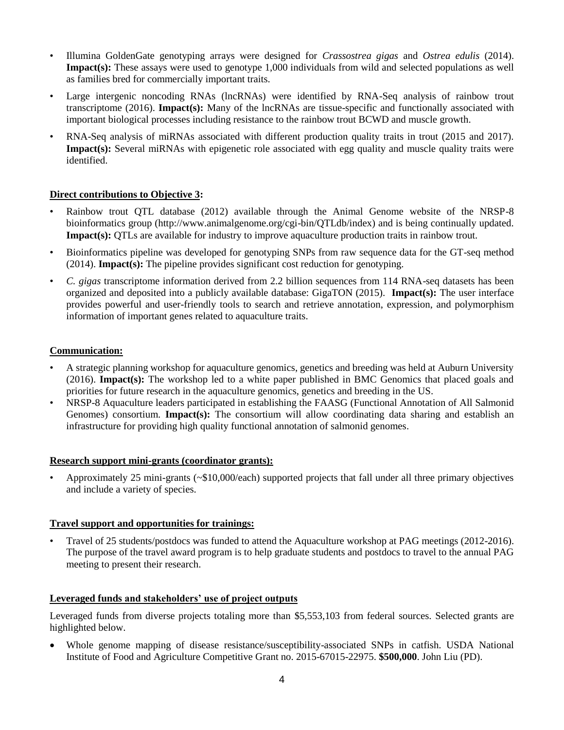- Illumina GoldenGate genotyping arrays were designed for *Crassostrea gigas* and *Ostrea edulis* (2014). **Impact(s):** These assays were used to genotype 1,000 individuals from wild and selected populations as well as families bred for commercially important traits.
- Large intergenic noncoding RNAs (lncRNAs) were identified by RNA-Seq analysis of rainbow trout transcriptome (2016). **Impact(s):** Many of the lncRNAs are tissue-specific and functionally associated with important biological processes including resistance to the rainbow trout BCWD and muscle growth.
- RNA-Seq analysis of miRNAs associated with different production quality traits in trout (2015 and 2017). **Impact(s):** Several miRNAs with epigenetic role associated with egg quality and muscle quality traits were identified.

## **Direct contributions to Objective 3:**

- Rainbow trout QTL database (2012) available through the Animal Genome website of the NRSP-8 bioinformatics group (http://www.animalgenome.org/cgi-bin/QTLdb/index) and is being continually updated. **Impact(s):** OTLs are available for industry to improve aquaculture production traits in rainbow trout.
- Bioinformatics pipeline was developed for genotyping SNPs from raw sequence data for the GT-seq method (2014). **Impact(s):** The pipeline provides significant cost reduction for genotyping.
- *C. gigas* transcriptome information derived from 2.2 billion sequences from 114 RNA-seq datasets has been organized and deposited into a publicly available database: GigaTON (2015). **Impact(s):** The user interface provides powerful and user-friendly tools to search and retrieve annotation, expression, and polymorphism information of important genes related to aquaculture traits.

## **Communication:**

- A strategic planning workshop for aquaculture genomics, genetics and breeding was held at Auburn University (2016). **Impact(s):** The workshop led to a white paper published in BMC Genomics that placed goals and priorities for future research in the aquaculture genomics, genetics and breeding in the US.
- NRSP-8 Aquaculture leaders participated in establishing the FAASG (Functional Annotation of All Salmonid Genomes) consortium. **Impact(s):** The consortium will allow coordinating data sharing and establish an infrastructure for providing high quality functional annotation of salmonid genomes.

### **Research support mini-grants (coordinator grants):**

• Approximately 25 mini-grants (~\$10,000/each) supported projects that fall under all three primary objectives and include a variety of species.

### **Travel support and opportunities for trainings:**

• Travel of 25 students/postdocs was funded to attend the Aquaculture workshop at PAG meetings (2012-2016). The purpose of the travel award program is to help graduate students and postdocs to travel to the annual PAG meeting to present their research.

# **Leveraged funds and stakeholders' use of project outputs**

Leveraged funds from diverse projects totaling more than \$5,553,103 from federal sources. Selected grants are highlighted below.

• Whole genome mapping of disease resistance/susceptibility-associated SNPs in catfish. USDA National Institute of Food and Agriculture Competitive Grant no. 2015-67015-22975. **\$500,000**. John Liu (PD).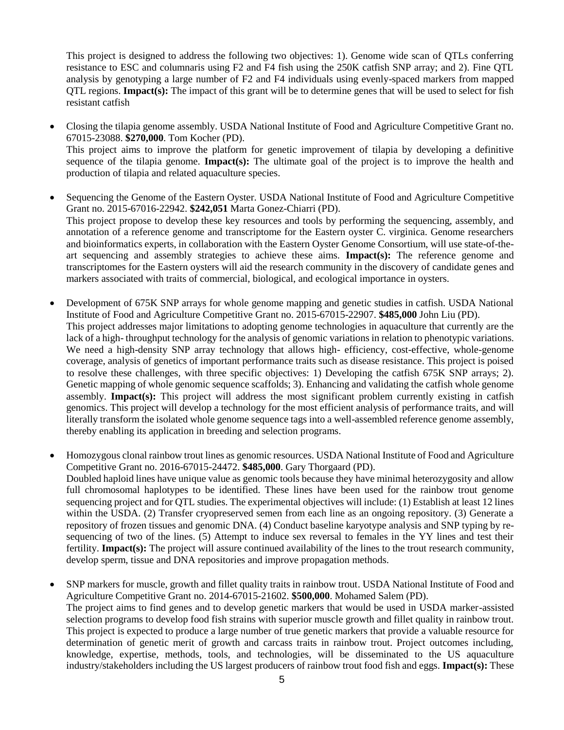This project is designed to address the following two objectives: 1). Genome wide scan of QTLs conferring resistance to ESC and columnaris using F2 and F4 fish using the 250K catfish SNP array; and 2). Fine QTL analysis by genotyping a large number of F2 and F4 individuals using evenly-spaced markers from mapped QTL regions. **Impact(s):** The impact of this grant will be to determine genes that will be used to select for fish resistant catfish

- Closing the tilapia genome assembly. USDA National Institute of Food and Agriculture Competitive Grant no. 67015-23088. **\$270,000**. Tom Kocher (PD). This project aims to improve the platform for genetic improvement of tilapia by developing a definitive sequence of the tilapia genome. **Impact(s):** The ultimate goal of the project is to improve the health and production of tilapia and related aquaculture species.
- Sequencing the Genome of the Eastern Oyster. USDA National Institute of Food and Agriculture Competitive Grant no. 2015-67016-22942. **\$242,051** Marta Gonez-Chiarri (PD). This project propose to develop these key resources and tools by performing the sequencing, assembly, and annotation of a reference genome and transcriptome for the Eastern oyster C. virginica. Genome researchers and bioinformatics experts, in collaboration with the Eastern Oyster Genome Consortium, will use state-of-theart sequencing and assembly strategies to achieve these aims. **Impact(s):** The reference genome and transcriptomes for the Eastern oysters will aid the research community in the discovery of candidate genes and markers associated with traits of commercial, biological, and ecological importance in oysters.
- Development of 675K SNP arrays for whole genome mapping and genetic studies in catfish. USDA National Institute of Food and Agriculture Competitive Grant no. 2015-67015-22907. **\$485,000** John Liu (PD). This project addresses major limitations to adopting genome technologies in aquaculture that currently are the lack of a high- throughput technology for the analysis of genomic variations in relation to phenotypic variations. We need a high-density SNP array technology that allows high- efficiency, cost-effective, whole-genome coverage, analysis of genetics of important performance traits such as disease resistance. This project is poised to resolve these challenges, with three specific objectives: 1) Developing the catfish 675K SNP arrays; 2). Genetic mapping of whole genomic sequence scaffolds; 3). Enhancing and validating the catfish whole genome assembly. **Impact(s):** This project will address the most significant problem currently existing in catfish genomics. This project will develop a technology for the most efficient analysis of performance traits, and will literally transform the isolated whole genome sequence tags into a well-assembled reference genome assembly, thereby enabling its application in breeding and selection programs.
- Homozygous clonal rainbow trout lines as genomic resources. USDA National Institute of Food and Agriculture Competitive Grant no. 2016-67015-24472. **\$485,000**. Gary Thorgaard (PD). Doubled haploid lines have unique value as genomic tools because they have minimal heterozygosity and allow full chromosomal haplotypes to be identified. These lines have been used for the rainbow trout genome sequencing project and for QTL studies. The experimental objectives will include: (1) Establish at least 12 lines within the USDA. (2) Transfer cryopreserved semen from each line as an ongoing repository. (3) Generate a repository of frozen tissues and genomic DNA. (4) Conduct baseline karyotype analysis and SNP typing by resequencing of two of the lines. (5) Attempt to induce sex reversal to females in the YY lines and test their fertility. **Impact(s):** The project will assure continued availability of the lines to the trout research community, develop sperm, tissue and DNA repositories and improve propagation methods.
- SNP markers for muscle, growth and fillet quality traits in rainbow trout. USDA National Institute of Food and Agriculture Competitive Grant no. 2014-67015-21602. **\$500,000**. Mohamed Salem (PD). The project aims to find genes and to develop genetic markers that would be used in USDA marker-assisted selection programs to develop food fish strains with superior muscle growth and fillet quality in rainbow trout. This project is expected to produce a large number of true genetic markers that provide a valuable resource for determination of genetic merit of growth and carcass traits in rainbow trout. Project outcomes including, knowledge, expertise, methods, tools, and technologies, will be disseminated to the US aquaculture industry/stakeholders including the US largest producers of rainbow trout food fish and eggs. **Impact(s):** These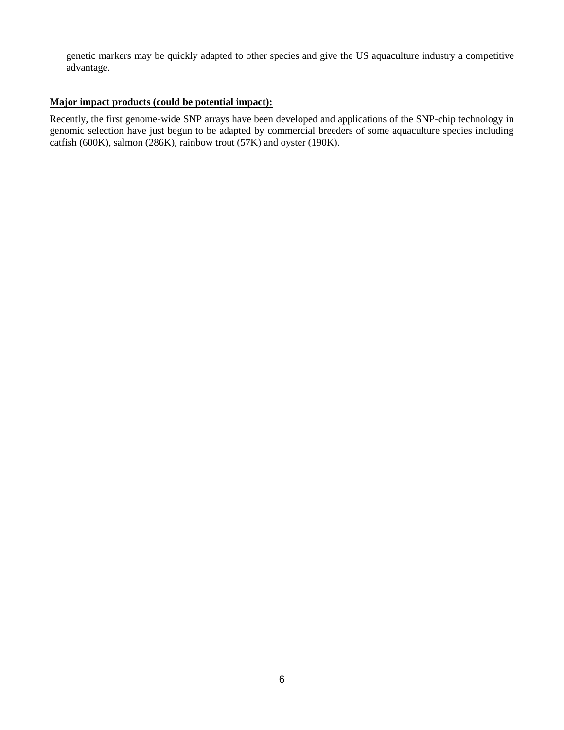genetic markers may be quickly adapted to other species and give the US aquaculture industry a competitive advantage.

## **Major impact products (could be potential impact):**

Recently, the first genome-wide SNP arrays have been developed and applications of the SNP-chip technology in genomic selection have just begun to be adapted by commercial breeders of some aquaculture species including catfish (600K), salmon (286K), rainbow trout (57K) and oyster (190K).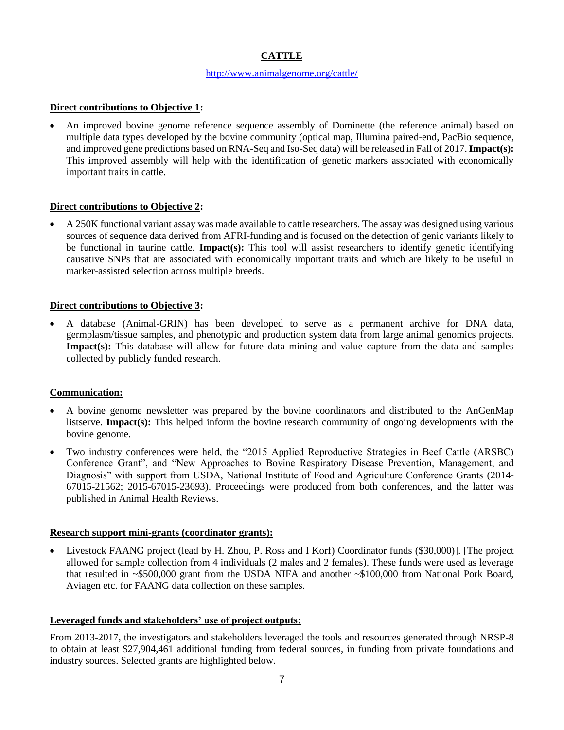# **CATTLE**

#### <http://www.animalgenome.org/cattle/>

### **Direct contributions to Objective 1:**

• An improved bovine genome reference sequence assembly of Dominette (the reference animal) based on multiple data types developed by the bovine community (optical map, Illumina paired-end, PacBio sequence, and improved gene predictions based on RNA-Seq and Iso-Seq data) will be released in Fall of 2017. **Impact(s):**  This improved assembly will help with the identification of genetic markers associated with economically important traits in cattle.

### **Direct contributions to Objective 2:**

• A 250K functional variant assay was made available to cattle researchers. The assay was designed using various sources of sequence data derived from AFRI-funding and is focused on the detection of genic variants likely to be functional in taurine cattle. **Impact(s):** This tool will assist researchers to identify genetic identifying causative SNPs that are associated with economically important traits and which are likely to be useful in marker-assisted selection across multiple breeds.

## **Direct contributions to Objective 3:**

• A database (Animal-GRIN) has been developed to serve as a permanent archive for DNA data, germplasm/tissue samples, and phenotypic and production system data from large animal genomics projects. **Impact(s):** This database will allow for future data mining and value capture from the data and samples collected by publicly funded research.

# **Communication:**

- A bovine genome newsletter was prepared by the bovine coordinators and distributed to the AnGenMap listserve. **Impact(s):** This helped inform the bovine research community of ongoing developments with the bovine genome.
- Two industry conferences were held, the "2015 Applied Reproductive Strategies in Beef Cattle (ARSBC) Conference Grant", and "New Approaches to Bovine Respiratory Disease Prevention, Management, and Diagnosis" with support from USDA, National Institute of Food and Agriculture Conference Grants (2014- 67015-21562; 2015-67015-23693). Proceedings were produced from both conferences, and the latter was published in Animal Health Reviews.

### **Research support mini-grants (coordinator grants):**

• Livestock FAANG project (lead by H. Zhou, P. Ross and I Korf) Coordinator funds (\$30,000)]. [The project allowed for sample collection from 4 individuals (2 males and 2 females). These funds were used as leverage that resulted in ~\$500,000 grant from the USDA NIFA and another ~\$100,000 from National Pork Board, Aviagen etc. for FAANG data collection on these samples.

### **Leveraged funds and stakeholders' use of project outputs:**

From 2013-2017, the investigators and stakeholders leveraged the tools and resources generated through NRSP-8 to obtain at least \$27,904,461 additional funding from federal sources, in funding from private foundations and industry sources. Selected grants are highlighted below.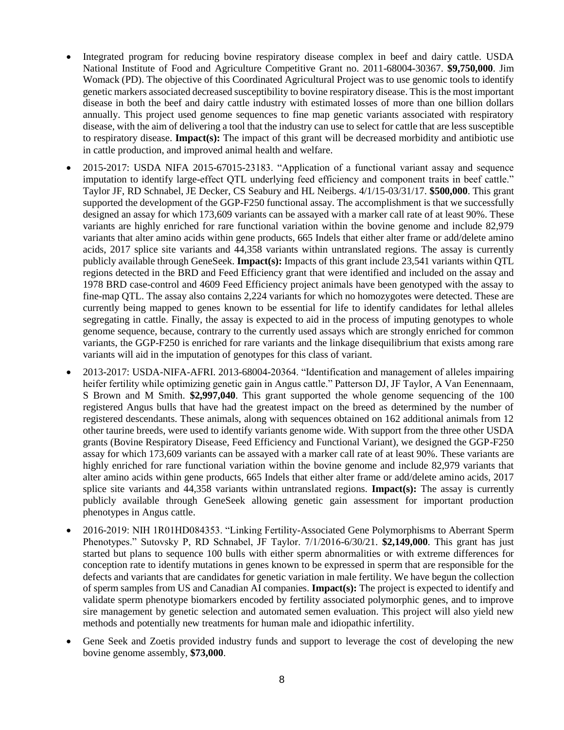- Integrated program for reducing bovine respiratory disease complex in beef and dairy cattle. USDA National Institute of Food and Agriculture Competitive Grant no. 2011-68004-30367. **\$9,750,000**. Jim Womack (PD). The objective of this Coordinated Agricultural Project was to use genomic tools to identify genetic markers associated decreased susceptibility to bovine respiratory disease. This is the most important disease in both the beef and dairy cattle industry with estimated losses of more than one billion dollars annually. This project used genome sequences to fine map genetic variants associated with respiratory disease, with the aim of delivering a tool that the industry can use to select for cattle that are less susceptible to respiratory disease. **Impact(s):** The impact of this grant will be decreased morbidity and antibiotic use in cattle production, and improved animal health and welfare.
- 2015-2017: USDA NIFA 2015-67015-23183. "Application of a functional variant assay and sequence imputation to identify large-effect QTL underlying feed efficiency and component traits in beef cattle." Taylor JF, RD Schnabel, JE Decker, CS Seabury and HL Neibergs. 4/1/15-03/31/17. **\$500,000**. This grant supported the development of the GGP-F250 functional assay. The accomplishment is that we successfully designed an assay for which 173,609 variants can be assayed with a marker call rate of at least 90%. These variants are highly enriched for rare functional variation within the bovine genome and include 82,979 variants that alter amino acids within gene products, 665 Indels that either alter frame or add/delete amino acids, 2017 splice site variants and 44,358 variants within untranslated regions. The assay is currently publicly available through GeneSeek. **Impact(s):** Impacts of this grant include 23,541 variants within QTL regions detected in the BRD and Feed Efficiency grant that were identified and included on the assay and 1978 BRD case-control and 4609 Feed Efficiency project animals have been genotyped with the assay to fine-map QTL. The assay also contains 2,224 variants for which no homozygotes were detected. These are currently being mapped to genes known to be essential for life to identify candidates for lethal alleles segregating in cattle. Finally, the assay is expected to aid in the process of imputing genotypes to whole genome sequence, because, contrary to the currently used assays which are strongly enriched for common variants, the GGP-F250 is enriched for rare variants and the linkage disequilibrium that exists among rare variants will aid in the imputation of genotypes for this class of variant.
- 2013-2017: USDA-NIFA-AFRI. 2013-68004-20364. "Identification and management of alleles impairing heifer fertility while optimizing genetic gain in Angus cattle." Patterson DJ, JF Taylor, A Van Eenennaam, S Brown and M Smith. **\$2,997,040**. This grant supported the whole genome sequencing of the 100 registered Angus bulls that have had the greatest impact on the breed as determined by the number of registered descendants. These animals, along with sequences obtained on 162 additional animals from 12 other taurine breeds, were used to identify variants genome wide. With support from the three other USDA grants (Bovine Respiratory Disease, Feed Efficiency and Functional Variant), we designed the GGP-F250 assay for which 173,609 variants can be assayed with a marker call rate of at least 90%. These variants are highly enriched for rare functional variation within the bovine genome and include 82,979 variants that alter amino acids within gene products, 665 Indels that either alter frame or add/delete amino acids, 2017 splice site variants and 44,358 variants within untranslated regions. **Impact(s):** The assay is currently publicly available through GeneSeek allowing genetic gain assessment for important production phenotypes in Angus cattle.
- 2016-2019: NIH 1R01HD084353. "Linking Fertility-Associated Gene Polymorphisms to Aberrant Sperm Phenotypes." Sutovsky P, RD Schnabel, JF Taylor. 7/1/2016-6/30/21. **\$2,149,000**. This grant has just started but plans to sequence 100 bulls with either sperm abnormalities or with extreme differences for conception rate to identify mutations in genes known to be expressed in sperm that are responsible for the defects and variants that are candidates for genetic variation in male fertility. We have begun the collection of sperm samples from US and Canadian AI companies. **Impact(s):** The project is expected to identify and validate sperm phenotype biomarkers encoded by fertility associated polymorphic genes, and to improve sire management by genetic selection and automated semen evaluation. This project will also yield new methods and potentially new treatments for human male and idiopathic infertility.
- Gene Seek and Zoetis provided industry funds and support to leverage the cost of developing the new bovine genome assembly, **\$73,000**.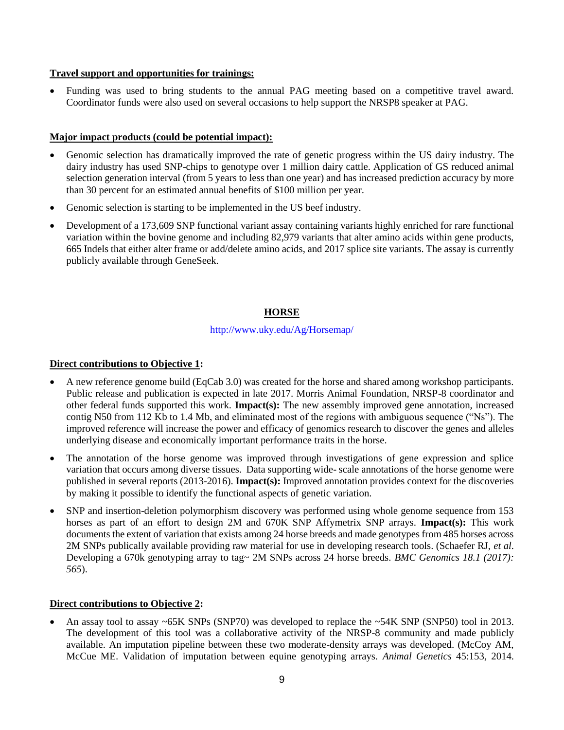## **Travel support and opportunities for trainings:**

• Funding was used to bring students to the annual PAG meeting based on a competitive travel award. Coordinator funds were also used on several occasions to help support the NRSP8 speaker at PAG.

## **Major impact products (could be potential impact):**

- Genomic selection has dramatically improved the rate of genetic progress within the US dairy industry. The dairy industry has used SNP-chips to genotype over 1 million dairy cattle. Application of GS reduced animal selection generation interval (from 5 years to less than one year) and has increased prediction accuracy by more than 30 percent for an estimated annual benefits of \$100 million per year.
- Genomic selection is starting to be implemented in the US beef industry.
- Development of a 173,609 SNP functional variant assay containing variants highly enriched for rare functional variation within the bovine genome and including 82,979 variants that alter amino acids within gene products, 665 Indels that either alter frame or add/delete amino acids, and 2017 splice site variants. The assay is currently publicly available through GeneSeek.

# **HORSE**

## http://www.uky.edu/Ag/Horsemap/

### **Direct contributions to Objective 1:**

- A new reference genome build (EqCab 3.0) was created for the horse and shared among workshop participants. Public release and publication is expected in late 2017. Morris Animal Foundation, NRSP-8 coordinator and other federal funds supported this work. **Impact(s):** The new assembly improved gene annotation, increased contig N50 from 112 Kb to 1.4 Mb, and eliminated most of the regions with ambiguous sequence ("Ns"). The improved reference will increase the power and efficacy of genomics research to discover the genes and alleles underlying disease and economically important performance traits in the horse.
- The annotation of the horse genome was improved through investigations of gene expression and splice variation that occurs among diverse tissues. Data supporting wide- scale annotations of the horse genome were published in several reports (2013-2016). **Impact(s):** Improved annotation provides context for the discoveries by making it possible to identify the functional aspects of genetic variation.
- SNP and insertion-deletion polymorphism discovery was performed using whole genome sequence from 153 horses as part of an effort to design 2M and 670K SNP Affymetrix SNP arrays. **Impact(s):** This work documents the extent of variation that exists among 24 horse breeds and made genotypes from 485 horses across 2M SNPs publically available providing raw material for use in developing research tools. (Schaefer RJ, *et al*. Developing a 670k genotyping array to tag~ 2M SNPs across 24 horse breeds. *BMC Genomics 18.1 (2017): 565*).

# **Direct contributions to Objective 2:**

• An assay tool to assay ~65K SNPs (SNP70) was developed to replace the ~54K SNP (SNP50) tool in 2013. The development of this tool was a collaborative activity of the NRSP-8 community and made publicly available. An imputation pipeline between these two moderate-density arrays was developed. (McCoy AM, McCue ME. Validation of imputation between equine genotyping arrays. *Animal Genetics* 45:153, 2014.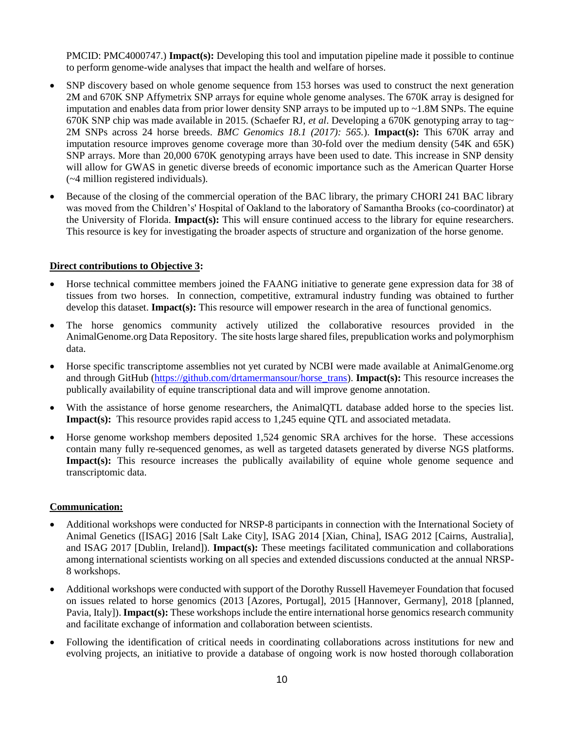PMCID: PMC4000747.) **Impact(s):** Developing this tool and imputation pipeline made it possible to continue to perform genome-wide analyses that impact the health and welfare of horses.

- SNP discovery based on whole genome sequence from 153 horses was used to construct the next generation 2M and 670K SNP Affymetrix SNP arrays for equine whole genome analyses. The 670K array is designed for imputation and enables data from prior lower density SNP arrays to be imputed up to  $\sim$  1.8M SNPs. The equine 670K SNP chip was made available in 2015. (Schaefer RJ, *et al*. Developing a 670K genotyping array to tag~ 2M SNPs across 24 horse breeds. *BMC Genomics 18.1 (2017): 565.*). **Impact(s):** This 670K array and imputation resource improves genome coverage more than 30-fold over the medium density (54K and 65K) SNP arrays. More than 20,000 670K genotyping arrays have been used to date. This increase in SNP density will allow for GWAS in genetic diverse breeds of economic importance such as the American Quarter Horse (~4 million registered individuals).
- Because of the closing of the commercial operation of the BAC library, the primary CHORI 241 BAC library was moved from the Children's' Hospital of Oakland to the laboratory of Samantha Brooks (co-coordinator) at the University of Florida. **Impact(s):** This will ensure continued access to the library for equine researchers. This resource is key for investigating the broader aspects of structure and organization of the horse genome.

#### **Direct contributions to Objective 3:**

- Horse technical committee members joined the FAANG initiative to generate gene expression data for 38 of tissues from two horses. In connection, competitive, extramural industry funding was obtained to further develop this dataset. **Impact(s):** This resource will empower research in the area of functional genomics.
- The horse genomics community actively utilized the collaborative resources provided in the AnimalGenome.org Data Repository. The site hosts large shared files, prepublication works and polymorphism data.
- Horse specific transcriptome assemblies not yet curated by NCBI were made available at AnimalGenome.org and through GitHub [\(https://github.com/drtamermansour/horse\\_trans\)](https://github.com/drtamermansour/horse_trans). **Impact(s):** This resource increases the publically availability of equine transcriptional data and will improve genome annotation.
- With the assistance of horse genome researchers, the AnimalOTL database added horse to the species list. **Impact(s):** This resource provides rapid access to 1,245 equine QTL and associated metadata.
- Horse genome workshop members deposited 1,524 genomic SRA archives for the horse. These accessions contain many fully re-sequenced genomes, as well as targeted datasets generated by diverse NGS platforms. **Impact(s):** This resource increases the publically availability of equine whole genome sequence and transcriptomic data.

#### **Communication:**

- Additional workshops were conducted for NRSP-8 participants in connection with the International Society of Animal Genetics ([ISAG] 2016 [Salt Lake City], ISAG 2014 [Xian, China], ISAG 2012 [Cairns, Australia], and ISAG 2017 [Dublin, Ireland]). **Impact(s):** These meetings facilitated communication and collaborations among international scientists working on all species and extended discussions conducted at the annual NRSP-8 workshops.
- Additional workshops were conducted with support of the Dorothy Russell Havemeyer Foundation that focused on issues related to horse genomics (2013 [Azores, Portugal], 2015 [Hannover, Germany], 2018 [planned, Pavia, Italy]). **Impact(s):** These workshops include the entire international horse genomics research community and facilitate exchange of information and collaboration between scientists.
- Following the identification of critical needs in coordinating collaborations across institutions for new and evolving projects, an initiative to provide a database of ongoing work is now hosted thorough collaboration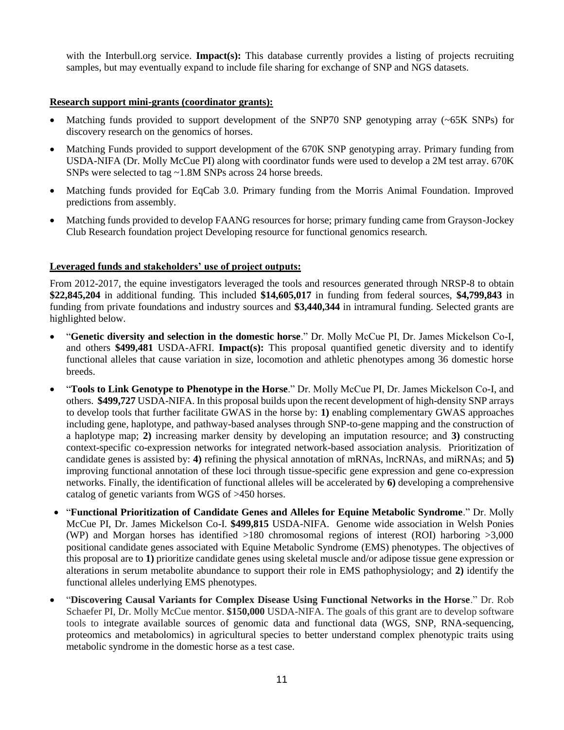with the Interbull.org service. **Impact(s):** This database currently provides a listing of projects recruiting samples, but may eventually expand to include file sharing for exchange of SNP and NGS datasets.

### **Research support mini-grants (coordinator grants):**

- Matching funds provided to support development of the SNP70 SNP genotyping array (~65K SNPs) for discovery research on the genomics of horses.
- Matching Funds provided to support development of the 670K SNP genotyping array. Primary funding from USDA-NIFA (Dr. Molly McCue PI) along with coordinator funds were used to develop a 2M test array. 670K SNPs were selected to tag ~1.8M SNPs across 24 horse breeds.
- Matching funds provided for EqCab 3.0. Primary funding from the Morris Animal Foundation. Improved predictions from assembly.
- Matching funds provided to develop FAANG resources for horse; primary funding came from Grayson-Jockey Club Research foundation project Developing resource for functional genomics research.

## **Leveraged funds and stakeholders' use of project outputs:**

From 2012-2017, the equine investigators leveraged the tools and resources generated through NRSP-8 to obtain **\$22,845,204** in additional funding. This included **\$14,605,017** in funding from federal sources, **\$4,799,843** in funding from private foundations and industry sources and **\$3,440,344** in intramural funding. Selected grants are highlighted below.

- "**Genetic diversity and selection in the domestic horse**." Dr. Molly McCue PI, Dr. James Mickelson Co-I, and others **\$499,481** USDA-AFRI. **Impact(s):** This proposal quantified genetic diversity and to identify functional alleles that cause variation in size, locomotion and athletic phenotypes among 36 domestic horse breeds.
- "**Tools to Link Genotype to Phenotype in the Horse**." Dr. Molly McCue PI, Dr. James Mickelson Co-I, and others. **\$499,727** USDA-NIFA. In this proposal builds upon the recent development of high-density SNP arrays to develop tools that further facilitate GWAS in the horse by: **1)** enabling complementary GWAS approaches including gene, haplotype, and pathway-based analyses through SNP-to-gene mapping and the construction of a haplotype map; **2)** increasing marker density by developing an imputation resource; and **3)** constructing context-specific co-expression networks for integrated network-based association analysis. Prioritization of candidate genes is assisted by: **4)** refining the physical annotation of mRNAs, lncRNAs, and miRNAs; and **5)** improving functional annotation of these loci through tissue-specific gene expression and gene co-expression networks. Finally, the identification of functional alleles will be accelerated by **6)** developing a comprehensive catalog of genetic variants from WGS of >450 horses.
- "**Functional Prioritization of Candidate Genes and Alleles for Equine Metabolic Syndrome**." Dr. Molly McCue PI, Dr. James Mickelson Co-I. **\$499,815** USDA-NIFA. Genome wide association in Welsh Ponies (WP) and Morgan horses has identified >180 chromosomal regions of interest (ROI) harboring >3,000 positional candidate genes associated with Equine Metabolic Syndrome (EMS) phenotypes. The objectives of this proposal are to **1)** prioritize candidate genes using skeletal muscle and/or adipose tissue gene expression or alterations in serum metabolite abundance to support their role in EMS pathophysiology; and **2)** identify the functional alleles underlying EMS phenotypes.
- "**Discovering Causal Variants for Complex Disease Using Functional Networks in the Horse**." Dr. Rob Schaefer PI, Dr. Molly McCue mentor. **\$150,000** USDA-NIFA. The goals of this grant are to develop software tools to integrate available sources of genomic data and functional data (WGS, SNP, RNA-sequencing, proteomics and metabolomics) in agricultural species to better understand complex phenotypic traits using metabolic syndrome in the domestic horse as a test case.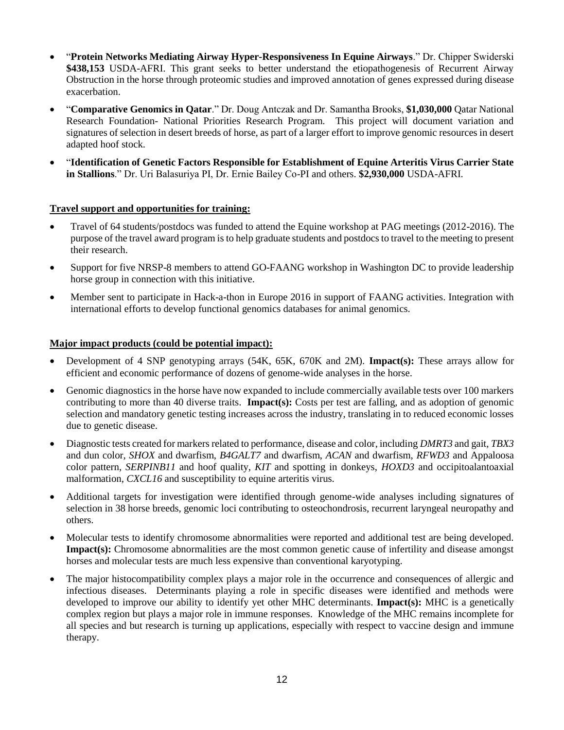- "**Protein Networks Mediating Airway Hyper-Responsiveness In Equine Airways**." Dr. Chipper Swiderski **\$438,153** USDA-AFRI. This grant seeks to better understand the etiopathogenesis of Recurrent Airway Obstruction in the horse through proteomic studies and improved annotation of genes expressed during disease exacerbation.
- "**Comparative Genomics in Qatar**." Dr. Doug Antczak and Dr. Samantha Brooks, **\$1,030,000** Qatar National Research Foundation- National Priorities Research Program. This project will document variation and signatures of selection in desert breeds of horse, as part of a larger effort to improve genomic resources in desert adapted hoof stock.
- "**Identification of Genetic Factors Responsible for Establishment of Equine Arteritis Virus Carrier State in Stallions**." Dr. Uri Balasuriya PI, Dr. Ernie Bailey Co-PI and others. **\$2,930,000** USDA-AFRI.

## **Travel support and opportunities for training:**

- Travel of 64 students/postdocs was funded to attend the Equine workshop at PAG meetings (2012-2016). The purpose of the travel award program is to help graduate students and postdocs to travel to the meeting to present their research.
- Support for five NRSP-8 members to attend GO-FAANG workshop in Washington DC to provide leadership horse group in connection with this initiative.
- Member sent to participate in Hack-a-thon in Europe 2016 in support of FAANG activities. Integration with international efforts to develop functional genomics databases for animal genomics.

### **Major impact products (could be potential impact):**

- Development of 4 SNP genotyping arrays (54K, 65K, 670K and 2M). **Impact(s):** These arrays allow for efficient and economic performance of dozens of genome-wide analyses in the horse.
- Genomic diagnostics in the horse have now expanded to include commercially available tests over 100 markers contributing to more than 40 diverse traits. **Impact(s):** Costs per test are falling, and as adoption of genomic selection and mandatory genetic testing increases across the industry, translating in to reduced economic losses due to genetic disease.
- Diagnostic tests created for markers related to performance, disease and color, including *DMRT3* and gait, *TBX3* and dun color, *SHOX* and dwarfism, *B4GALT7* and dwarfism, *ACAN* and dwarfism, *RFWD3* and Appaloosa color pattern, *SERPINB11* and hoof quality, *KIT* and spotting in donkeys, *HOXD3* and occipitoalantoaxial malformation, *CXCL16* and susceptibility to equine arteritis virus.
- Additional targets for investigation were identified through genome-wide analyses including signatures of selection in 38 horse breeds, genomic loci contributing to osteochondrosis, recurrent laryngeal neuropathy and others.
- Molecular tests to identify chromosome abnormalities were reported and additional test are being developed. **Impact(s):** Chromosome abnormalities are the most common genetic cause of infertility and disease amongst horses and molecular tests are much less expensive than conventional karyotyping.
- The major histocompatibility complex plays a major role in the occurrence and consequences of allergic and infectious diseases. Determinants playing a role in specific diseases were identified and methods were developed to improve our ability to identify yet other MHC determinants. **Impact(s):** MHC is a genetically complex region but plays a major role in immune responses. Knowledge of the MHC remains incomplete for all species and but research is turning up applications, especially with respect to vaccine design and immune therapy.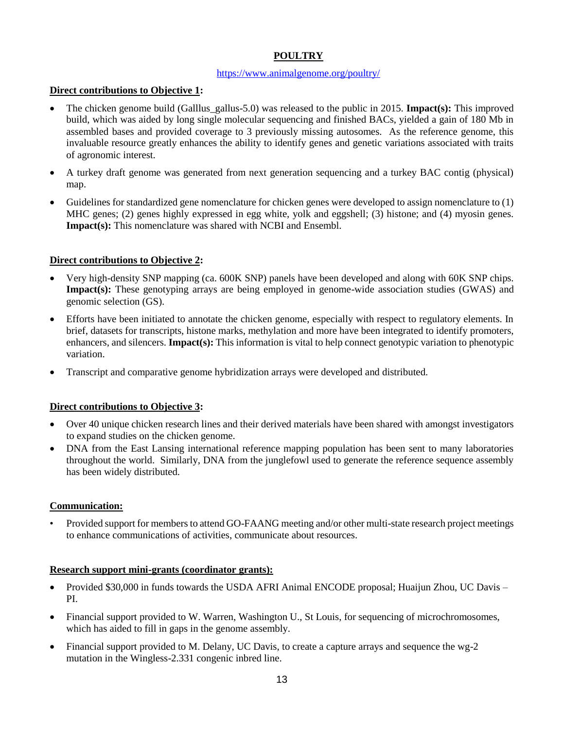# **POULTRY**

### <https://www.animalgenome.org/poultry/>

# **Direct contributions to Objective 1:**

- The chicken genome build (Galllus\_gallus-5.0) was released to the public in 2015. **Impact(s):** This improved build, which was aided by long single molecular sequencing and finished BACs, yielded a gain of 180 Mb in assembled bases and provided coverage to 3 previously missing autosomes. As the reference genome, this invaluable resource greatly enhances the ability to identify genes and genetic variations associated with traits of agronomic interest.
- A turkey draft genome was generated from next generation sequencing and a turkey BAC contig (physical) map.
- Guidelines for standardized gene nomenclature for chicken genes were developed to assign nomenclature to (1) MHC genes; (2) genes highly expressed in egg white, yolk and eggshell; (3) histone; and (4) myosin genes. **Impact(s):** This nomenclature was shared with NCBI and Ensembl.

# **Direct contributions to Objective 2:**

- Very high-density SNP mapping (ca. 600K SNP) panels have been developed and along with 60K SNP chips. **Impact(s):** These genotyping arrays are being employed in genome-wide association studies (GWAS) and genomic selection (GS).
- Efforts have been initiated to annotate the chicken genome, especially with respect to regulatory elements. In brief, datasets for transcripts, histone marks, methylation and more have been integrated to identify promoters, enhancers, and silencers. **Impact(s):** This information is vital to help connect genotypic variation to phenotypic variation.
- Transcript and comparative genome hybridization arrays were developed and distributed.

# **Direct contributions to Objective 3:**

- Over 40 unique chicken research lines and their derived materials have been shared with amongst investigators to expand studies on the chicken genome.
- DNA from the East Lansing international reference mapping population has been sent to many laboratories throughout the world. Similarly, DNA from the junglefowl used to generate the reference sequence assembly has been widely distributed.

### **Communication:**

• Provided support for members to attend GO-FAANG meeting and/or other multi-state research project meetings to enhance communications of activities, communicate about resources.

### **Research support mini-grants (coordinator grants):**

- Provided \$30,000 in funds towards the USDA AFRI Animal ENCODE proposal; Huaijun Zhou, UC Davis PI.
- Financial support provided to W. Warren, Washington U., St Louis, for sequencing of microchromosomes, which has aided to fill in gaps in the genome assembly.
- Financial support provided to M. Delany, UC Davis, to create a capture arrays and sequence the  $\text{wg-2}$ mutation in the Wingless-2.331 congenic inbred line.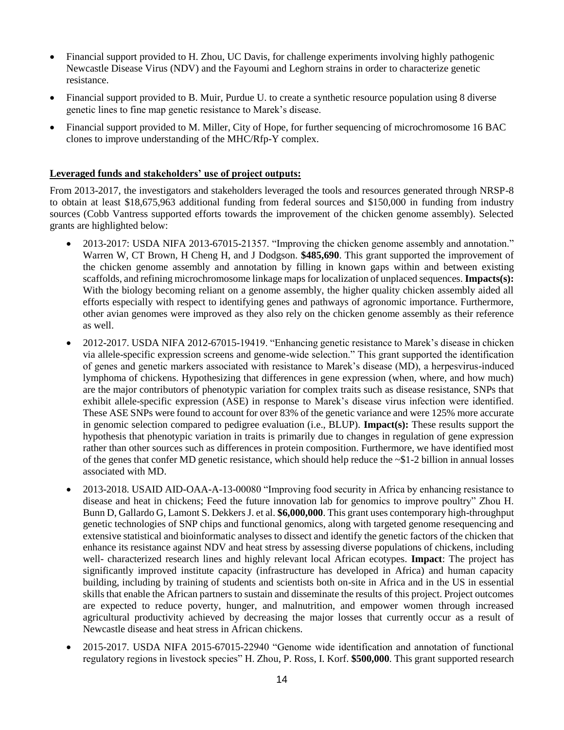- Financial support provided to H. Zhou, UC Davis, for challenge experiments involving highly pathogenic Newcastle Disease Virus (NDV) and the Fayoumi and Leghorn strains in order to characterize genetic resistance.
- Financial support provided to B. Muir, Purdue U. to create a synthetic resource population using 8 diverse genetic lines to fine map genetic resistance to Marek's disease.
- Financial support provided to M. Miller, City of Hope, for further sequencing of microchromosome 16 BAC clones to improve understanding of the MHC/Rfp-Y complex.

#### **Leveraged funds and stakeholders' use of project outputs:**

From 2013-2017, the investigators and stakeholders leveraged the tools and resources generated through NRSP-8 to obtain at least \$18,675,963 additional funding from federal sources and \$150,000 in funding from industry sources (Cobb Vantress supported efforts towards the improvement of the chicken genome assembly). Selected grants are highlighted below:

- 2013-2017: USDA NIFA 2013-67015-21357. "Improving the chicken genome assembly and annotation." Warren W, CT Brown, H Cheng H, and J Dodgson. **\$485,690**. This grant supported the improvement of the chicken genome assembly and annotation by filling in known gaps within and between existing scaffolds, and refining microchromosome linkage maps for localization of unplaced sequences. **Impacts(s):** With the biology becoming reliant on a genome assembly, the higher quality chicken assembly aided all efforts especially with respect to identifying genes and pathways of agronomic importance. Furthermore, other avian genomes were improved as they also rely on the chicken genome assembly as their reference as well.
- 2012-2017. USDA NIFA 2012-67015-19419. "Enhancing genetic resistance to Marek's disease in chicken via allele-specific expression screens and genome-wide selection." This grant supported the identification of genes and genetic markers associated with resistance to Marek's disease (MD), a herpesvirus-induced lymphoma of chickens. Hypothesizing that differences in gene expression (when, where, and how much) are the major contributors of phenotypic variation for complex traits such as disease resistance, SNPs that exhibit allele-specific expression (ASE) in response to Marek's disease virus infection were identified. These ASE SNPs were found to account for over 83% of the genetic variance and were 125% more accurate in genomic selection compared to pedigree evaluation (i.e., BLUP). **Impact(s):** These results support the hypothesis that phenotypic variation in traits is primarily due to changes in regulation of gene expression rather than other sources such as differences in protein composition. Furthermore, we have identified most of the genes that confer MD genetic resistance, which should help reduce the  $\sim$ \$1-2 billion in annual losses associated with MD.
- 2013-2018. USAID AID-OAA-A-13-00080 "Improving food security in Africa by enhancing resistance to disease and heat in chickens; Feed the future innovation lab for genomics to improve poultry" Zhou H. Bunn D, Gallardo G, Lamont S. Dekkers J. et al. **\$6,000,000**. This grant uses contemporary high-throughput genetic technologies of SNP chips and functional genomics, along with targeted genome resequencing and extensive statistical and bioinformatic analyses to dissect and identify the genetic factors of the chicken that enhance its resistance against NDV and heat stress by assessing diverse populations of chickens, including well- characterized research lines and highly relevant local African ecotypes. **Impact**: The project has significantly improved institute capacity (infrastructure has developed in Africa) and human capacity building, including by training of students and scientists both on-site in Africa and in the US in essential skills that enable the African partners to sustain and disseminate the results of this project. Project outcomes are expected to reduce poverty, hunger, and malnutrition, and empower women through increased agricultural productivity achieved by decreasing the major losses that currently occur as a result of Newcastle disease and heat stress in African chickens.
- 2015-2017. USDA NIFA 2015-67015-22940 "Genome wide identification and annotation of functional regulatory regions in livestock species" H. Zhou, P. Ross, I. Korf. **\$500,000**. This grant supported research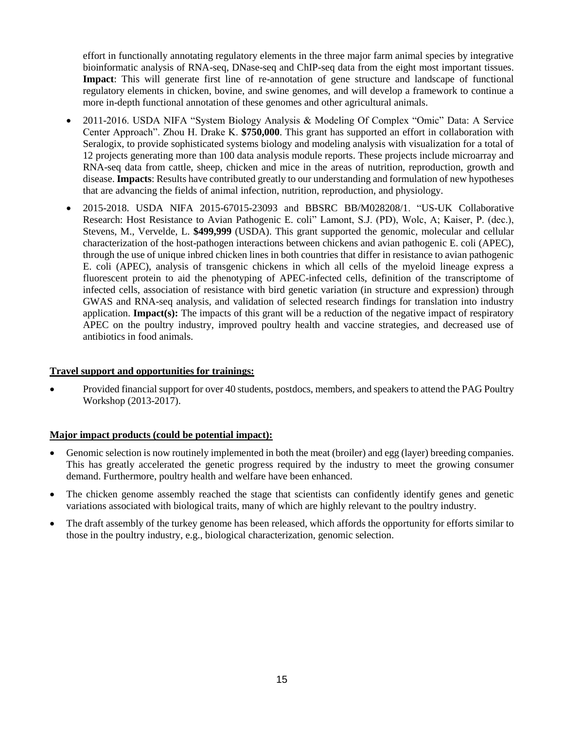effort in functionally annotating regulatory elements in the three major farm animal species by integrative bioinformatic analysis of RNA-seq, DNase-seq and ChIP-seq data from the eight most important tissues. **Impact**: This will generate first line of re-annotation of gene structure and landscape of functional regulatory elements in chicken, bovine, and swine genomes, and will develop a framework to continue a more in-depth functional annotation of these genomes and other agricultural animals.

- 2011-2016. USDA NIFA "System Biology Analysis & Modeling Of Complex "Omic" Data: A Service Center Approach". Zhou H. Drake K. **\$750,000**. This grant has supported an effort in collaboration with Seralogix, to provide sophisticated systems biology and modeling analysis with visualization for a total of 12 projects generating more than 100 data analysis module reports. These projects include microarray and RNA-seq data from cattle, sheep, chicken and mice in the areas of nutrition, reproduction, growth and disease. **Impacts**: Results have contributed greatly to our understanding and formulation of new hypotheses that are advancing the fields of animal infection, nutrition, reproduction, and physiology.
- 2015-2018. USDA NIFA 2015-67015-23093 and BBSRC BB/M028208/1. "US-UK Collaborative Research: Host Resistance to Avian Pathogenic E. coli" Lamont, S.J. (PD), Wolc, A; Kaiser, P. (dec.), Stevens, M., Vervelde, L. **\$499,999** (USDA). This grant supported the genomic, molecular and cellular characterization of the host-pathogen interactions between chickens and avian pathogenic E. coli (APEC), through the use of unique inbred chicken lines in both countries that differ in resistance to avian pathogenic E. coli (APEC), analysis of transgenic chickens in which all cells of the myeloid lineage express a fluorescent protein to aid the phenotyping of APEC-infected cells, definition of the transcriptome of infected cells, association of resistance with bird genetic variation (in structure and expression) through GWAS and RNA-seq analysis, and validation of selected research findings for translation into industry application. **Impact(s):** The impacts of this grant will be a reduction of the negative impact of respiratory APEC on the poultry industry, improved poultry health and vaccine strategies, and decreased use of antibiotics in food animals.

### **Travel support and opportunities for trainings:**

• Provided financial support for over 40 students, postdocs, members, and speakers to attend the PAG Poultry Workshop (2013-2017).

#### **Major impact products (could be potential impact):**

- Genomic selection is now routinely implemented in both the meat (broiler) and egg (layer) breeding companies. This has greatly accelerated the genetic progress required by the industry to meet the growing consumer demand. Furthermore, poultry health and welfare have been enhanced.
- The chicken genome assembly reached the stage that scientists can confidently identify genes and genetic variations associated with biological traits, many of which are highly relevant to the poultry industry.
- The draft assembly of the turkey genome has been released, which affords the opportunity for efforts similar to those in the poultry industry, e.g., biological characterization, genomic selection.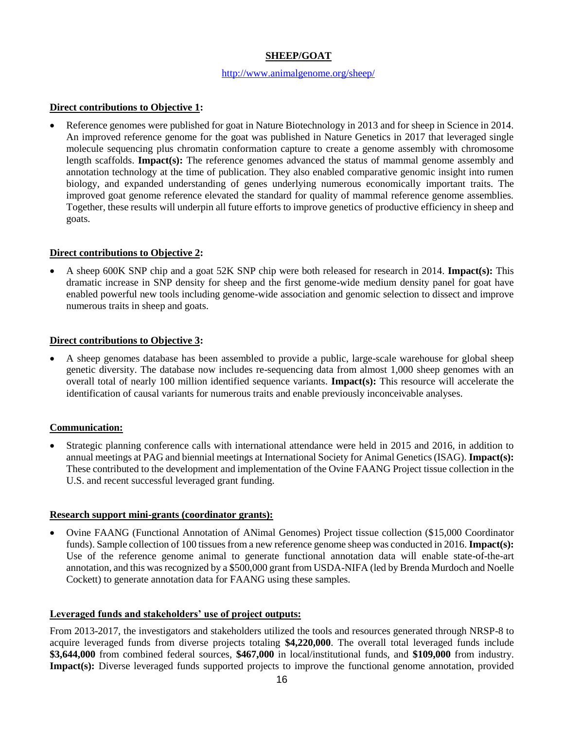# **SHEEP/GOAT**

#### <http://www.animalgenome.org/sheep/>

## **Direct contributions to Objective 1:**

• Reference genomes were published for goat in Nature Biotechnology in 2013 and for sheep in Science in 2014. An improved reference genome for the goat was published in Nature Genetics in 2017 that leveraged single molecule sequencing plus chromatin conformation capture to create a genome assembly with chromosome length scaffolds. **Impact(s):** The reference genomes advanced the status of mammal genome assembly and annotation technology at the time of publication. They also enabled comparative genomic insight into rumen biology, and expanded understanding of genes underlying numerous economically important traits. The improved goat genome reference elevated the standard for quality of mammal reference genome assemblies. Together, these results will underpin all future efforts to improve genetics of productive efficiency in sheep and goats.

## **Direct contributions to Objective 2:**

• A sheep 600K SNP chip and a goat 52K SNP chip were both released for research in 2014. **Impact(s):** This dramatic increase in SNP density for sheep and the first genome-wide medium density panel for goat have enabled powerful new tools including genome-wide association and genomic selection to dissect and improve numerous traits in sheep and goats.

### **Direct contributions to Objective 3:**

• A sheep genomes database has been assembled to provide a public, large-scale warehouse for global sheep genetic diversity. The database now includes re-sequencing data from almost 1,000 sheep genomes with an overall total of nearly 100 million identified sequence variants. **Impact(s):** This resource will accelerate the identification of causal variants for numerous traits and enable previously inconceivable analyses.

### **Communication:**

• Strategic planning conference calls with international attendance were held in 2015 and 2016, in addition to annual meetings at PAG and biennial meetings at International Society for Animal Genetics (ISAG). **Impact(s):**  These contributed to the development and implementation of the Ovine FAANG Project tissue collection in the U.S. and recent successful leveraged grant funding.

### **Research support mini-grants (coordinator grants):**

• Ovine FAANG (Functional Annotation of ANimal Genomes) Project tissue collection (\$15,000 Coordinator funds). Sample collection of 100 tissues from a new reference genome sheep was conducted in 2016. **Impact(s):**  Use of the reference genome animal to generate functional annotation data will enable state-of-the-art annotation, and this was recognized by a \$500,000 grant from USDA-NIFA (led by Brenda Murdoch and Noelle Cockett) to generate annotation data for FAANG using these samples.

### **Leveraged funds and stakeholders' use of project outputs:**

From 2013-2017, the investigators and stakeholders utilized the tools and resources generated through NRSP-8 to acquire leveraged funds from diverse projects totaling **\$4,220,000**. The overall total leveraged funds include **\$3,644,000** from combined federal sources, **\$467,000** in local/institutional funds, and **\$109,000** from industry. **Impact(s):** Diverse leveraged funds supported projects to improve the functional genome annotation, provided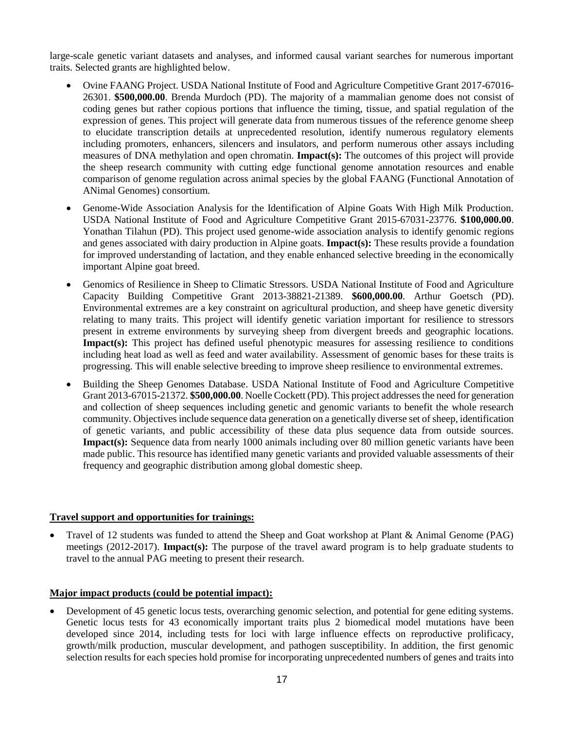large-scale genetic variant datasets and analyses, and informed causal variant searches for numerous important traits. Selected grants are highlighted below.

- Ovine FAANG Project. USDA National Institute of Food and Agriculture Competitive Grant 2017-67016- 26301. **\$500,000.00**. Brenda Murdoch (PD). The majority of a mammalian genome does not consist of coding genes but rather copious portions that influence the timing, tissue, and spatial regulation of the expression of genes. This project will generate data from numerous tissues of the reference genome sheep to elucidate transcription details at unprecedented resolution, identify numerous regulatory elements including promoters, enhancers, silencers and insulators, and perform numerous other assays including measures of DNA methylation and open chromatin. **Impact(s):** The outcomes of this project will provide the sheep research community with cutting edge functional genome annotation resources and enable comparison of genome regulation across animal species by the global FAANG (Functional Annotation of ANimal Genomes) consortium.
- Genome-Wide Association Analysis for the Identification of Alpine Goats With High Milk Production. USDA National Institute of Food and Agriculture Competitive Grant 2015-67031-23776. **\$100,000.00**. Yonathan Tilahun (PD). This project used genome-wide association analysis to identify genomic regions and genes associated with dairy production in Alpine goats. **Impact(s):** These results provide a foundation for improved understanding of lactation, and they enable enhanced selective breeding in the economically important Alpine goat breed.
- Genomics of Resilience in Sheep to Climatic Stressors. USDA National Institute of Food and Agriculture Capacity Building Competitive Grant 2013-38821-21389. **\$600,000.00**. Arthur Goetsch (PD). Environmental extremes are a key constraint on agricultural production, and sheep have genetic diversity relating to many traits. This project will identify genetic variation important for resilience to stressors present in extreme environments by surveying sheep from divergent breeds and geographic locations. **Impact(s):** This project has defined useful phenotypic measures for assessing resilience to conditions including heat load as well as feed and water availability. Assessment of genomic bases for these traits is progressing. This will enable selective breeding to improve sheep resilience to environmental extremes.
- Building the Sheep Genomes Database. USDA National Institute of Food and Agriculture Competitive Grant 2013-67015-21372. **\$500,000.00**. Noelle Cockett (PD). This project addresses the need for generation and collection of sheep sequences including genetic and genomic variants to benefit the whole research community. Objectives include sequence data generation on a genetically diverse set of sheep, identification of genetic variants, and public accessibility of these data plus sequence data from outside sources. **Impact(s):** Sequence data from nearly 1000 animals including over 80 million genetic variants have been made public. This resource has identified many genetic variants and provided valuable assessments of their frequency and geographic distribution among global domestic sheep.

### **Travel support and opportunities for trainings:**

• Travel of 12 students was funded to attend the Sheep and Goat workshop at Plant & Animal Genome (PAG) meetings (2012-2017). **Impact(s):** The purpose of the travel award program is to help graduate students to travel to the annual PAG meeting to present their research.

# **Major impact products (could be potential impact):**

• Development of 45 genetic locus tests, overarching genomic selection, and potential for gene editing systems. Genetic locus tests for 43 economically important traits plus 2 biomedical model mutations have been developed since 2014, including tests for loci with large influence effects on reproductive prolificacy, growth/milk production, muscular development, and pathogen susceptibility. In addition, the first genomic selection results for each species hold promise for incorporating unprecedented numbers of genes and traits into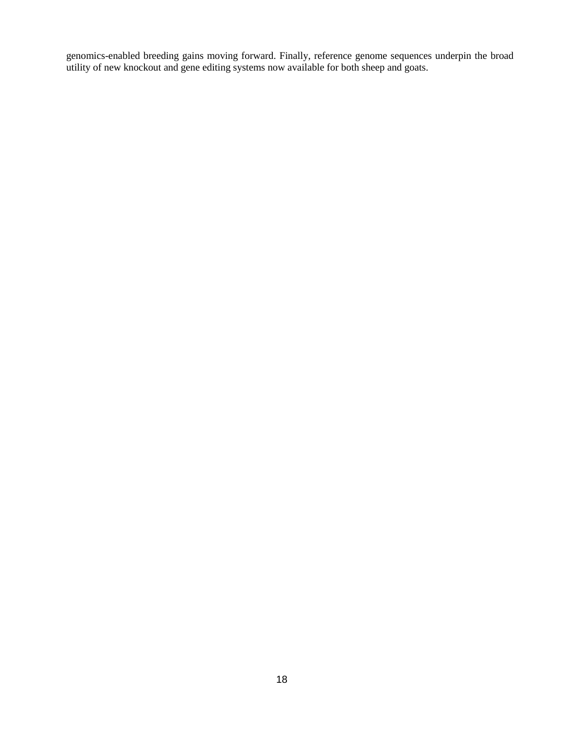genomics-enabled breeding gains moving forward. Finally, reference genome sequences underpin the broad utility of new knockout and gene editing systems now available for both sheep and goats.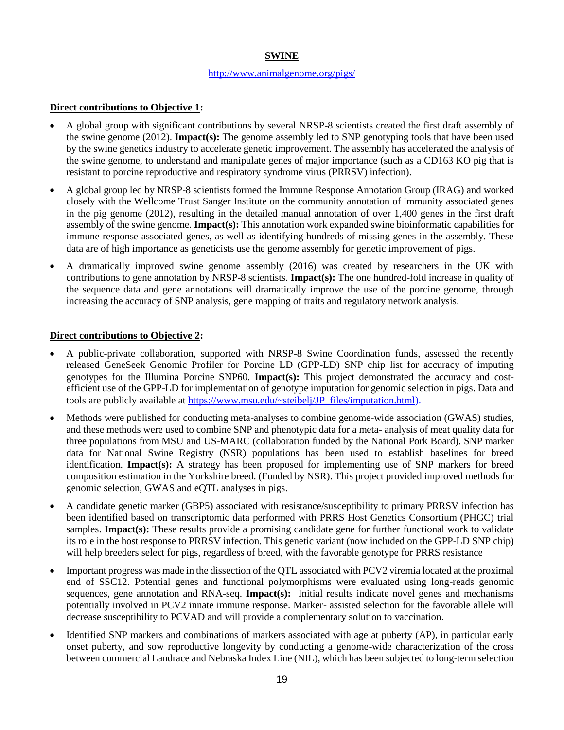# **SWINE**

### <http://www.animalgenome.org/pigs/>

## **Direct contributions to Objective 1:**

- A global group with significant contributions by several NRSP-8 scientists created the first draft assembly of the swine genome (2012). **Impact(s):** The genome assembly led to SNP genotyping tools that have been used by the swine genetics industry to accelerate genetic improvement. The assembly has accelerated the analysis of the swine genome, to understand and manipulate genes of major importance (such as a CD163 KO pig that is resistant to porcine reproductive and respiratory syndrome virus (PRRSV) infection).
- A global group led by NRSP-8 scientists formed the Immune Response Annotation Group (IRAG) and worked closely with the Wellcome Trust Sanger Institute on the community annotation of immunity associated genes in the pig genome (2012), resulting in the detailed manual annotation of over 1,400 genes in the first draft assembly of the swine genome. **Impact(s):** This annotation work expanded swine bioinformatic capabilities for immune response associated genes, as well as identifying hundreds of missing genes in the assembly. These data are of high importance as geneticists use the genome assembly for genetic improvement of pigs.
- A dramatically improved swine genome assembly (2016) was created by researchers in the UK with contributions to gene annotation by NRSP-8 scientists. **Impact(s):** The one hundred-fold increase in quality of the sequence data and gene annotations will dramatically improve the use of the porcine genome, through increasing the accuracy of SNP analysis, gene mapping of traits and regulatory network analysis.

## **Direct contributions to Objective 2:**

- A public-private collaboration, supported with NRSP-8 Swine Coordination funds, assessed the recently released GeneSeek Genomic Profiler for Porcine LD (GPP-LD) SNP chip list for accuracy of imputing genotypes for the Illumina Porcine SNP60. **Impact(s):** This project demonstrated the accuracy and costefficient use of the GPP-LD for implementation of genotype imputation for genomic selection in pigs. Data and tools are publicly available at [https://www.msu.edu/~steibelj/JP\\_files/imputation.html\)](https://www.msu.edu/~steibelj/JP_files/imputation.html).
- Methods were published for conducting meta-analyses to combine genome-wide association (GWAS) studies, and these methods were used to combine SNP and phenotypic data for a meta- analysis of meat quality data for three populations from MSU and US-MARC (collaboration funded by the National Pork Board). SNP marker data for National Swine Registry (NSR) populations has been used to establish baselines for breed identification. **Impact(s):** A strategy has been proposed for implementing use of SNP markers for breed composition estimation in the Yorkshire breed. (Funded by NSR). This project provided improved methods for genomic selection, GWAS and eQTL analyses in pigs.
- A candidate genetic marker (GBP5) associated with resistance/susceptibility to primary PRRSV infection has been identified based on transcriptomic data performed with PRRS Host Genetics Consortium (PHGC) trial samples. **Impact(s):** These results provide a promising candidate gene for further functional work to validate its role in the host response to PRRSV infection. This genetic variant (now included on the GPP-LD SNP chip) will help breeders select for pigs, regardless of breed, with the favorable genotype for PRRS resistance
- Important progress was made in the dissection of the QTL associated with PCV2 viremia located at the proximal end of SSC12. Potential genes and functional polymorphisms were evaluated using long-reads genomic sequences, gene annotation and RNA-seq. **Impact(s):** Initial results indicate novel genes and mechanisms potentially involved in PCV2 innate immune response. Marker- assisted selection for the favorable allele will decrease susceptibility to PCVAD and will provide a complementary solution to vaccination.
- Identified SNP markers and combinations of markers associated with age at puberty (AP), in particular early onset puberty, and sow reproductive longevity by conducting a genome-wide characterization of the cross between commercial Landrace and Nebraska Index Line (NIL), which has been subjected to long-term selection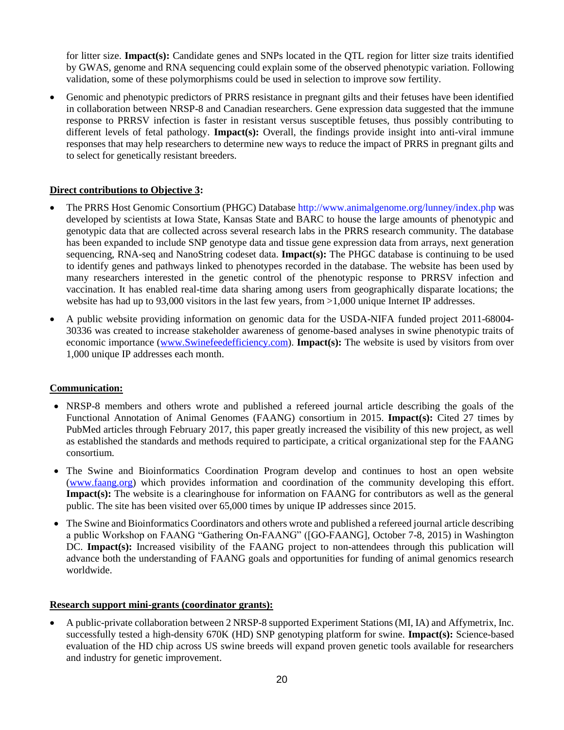for litter size. **Impact(s):** Candidate genes and SNPs located in the QTL region for litter size traits identified by GWAS, genome and RNA sequencing could explain some of the observed phenotypic variation. Following validation, some of these polymorphisms could be used in selection to improve sow fertility.

• Genomic and phenotypic predictors of PRRS resistance in pregnant gilts and their fetuses have been identified in collaboration between NRSP-8 and Canadian researchers. Gene expression data suggested that the immune response to PRRSV infection is faster in resistant versus susceptible fetuses, thus possibly contributing to different levels of fetal pathology. **Impact(s):** Overall, the findings provide insight into anti-viral immune responses that may help researchers to determine new ways to reduce the impact of PRRS in pregnant gilts and to select for genetically resistant breeders.

## **Direct contributions to Objective 3:**

- The PRRS Host Genomic Consortium (PHGC) Database http://www.animalgenome.org/lunney/index.php was developed by scientists at Iowa State, Kansas State and BARC to house the large amounts of phenotypic and genotypic data that are collected across several research labs in the PRRS research community. The database has been expanded to include SNP genotype data and tissue gene expression data from arrays, next generation sequencing, RNA-seq and NanoString codeset data. **Impact(s):** The PHGC database is continuing to be used to identify genes and pathways linked to phenotypes recorded in the database. The website has been used by many researchers interested in the genetic control of the phenotypic response to PRRSV infection and vaccination. It has enabled real-time data sharing among users from geographically disparate locations; the website has had up to 93,000 visitors in the last few years, from  $>1,000$  unique Internet IP addresses.
- A public website providing information on genomic data for the USDA-NIFA funded project 2011-68004- 30336 was created to increase stakeholder awareness of genome-based analyses in swine phenotypic traits of economic importance [\(www.Swinefeedefficiency.com\)](http://www.swinefeedefficiency.com/). **Impact(s):** The website is used by visitors from over 1,000 unique IP addresses each month.

### **Communication:**

- NRSP-8 members and others wrote and published a refereed journal article describing the goals of the Functional Annotation of Animal Genomes (FAANG) consortium in 2015. **Impact(s):** Cited 27 times by PubMed articles through February 2017, this paper greatly increased the visibility of this new project, as well as established the standards and methods required to participate, a critical organizational step for the FAANG consortium.
- The Swine and Bioinformatics Coordination Program develop and continues to host an open website [\(www.faang.org\)](http://www.faang.org/) which provides information and coordination of the community developing this effort. **Impact(s):** The website is a clearinghouse for information on FAANG for contributors as well as the general public. The site has been visited over 65,000 times by unique IP addresses since 2015.
- The Swine and Bioinformatics Coordinators and others wrote and published a refereed journal article describing a public Workshop on FAANG "Gathering On-FAANG" ([GO-FAANG], October 7-8, 2015) in Washington DC. **Impact(s):** Increased visibility of the FAANG project to non-attendees through this publication will advance both the understanding of FAANG goals and opportunities for funding of animal genomics research worldwide.

### **Research support mini-grants (coordinator grants):**

• A public-private collaboration between 2 NRSP-8 supported Experiment Stations (MI, IA) and Affymetrix, Inc. successfully tested a high-density 670K (HD) SNP genotyping platform for swine. **Impact(s):** Science-based evaluation of the HD chip across US swine breeds will expand proven genetic tools available for researchers and industry for genetic improvement.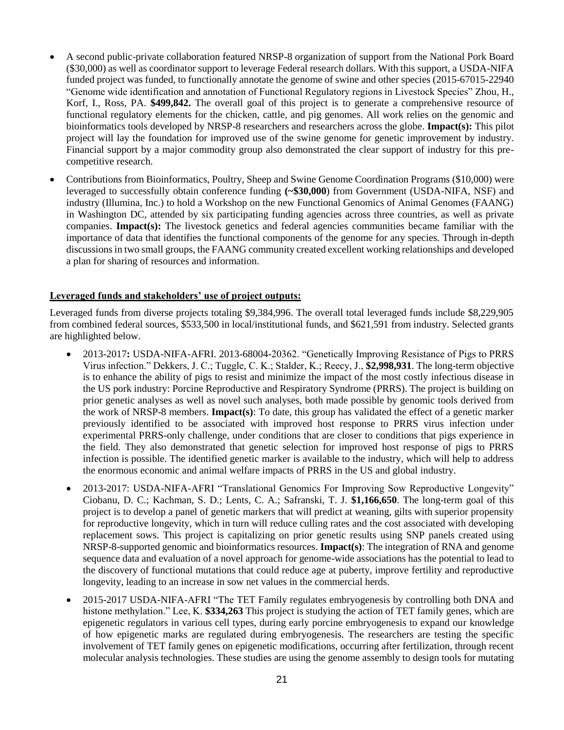- A second public-private collaboration featured NRSP-8 organization of support from the National Pork Board (\$30,000) as well as coordinator support to leverage Federal research dollars. With this support, a USDA-NIFA funded project was funded, to functionally annotate the genome of swine and other species (2015-67015-22940 "Genome wide identification and annotation of Functional Regulatory regions in Livestock Species" Zhou, H., Korf, I., Ross, PA. **\$499,842.** The overall goal of this project is to generate a comprehensive resource of functional regulatory elements for the chicken, cattle, and pig genomes. All work relies on the genomic and bioinformatics tools developed by NRSP-8 researchers and researchers across the globe. **Impact(s):** This pilot project will lay the foundation for improved use of the swine genome for genetic improvement by industry. Financial support by a major commodity group also demonstrated the clear support of industry for this precompetitive research.
- Contributions from Bioinformatics, Poultry, Sheep and Swine Genome Coordination Programs (\$10,000) were leveraged to successfully obtain conference funding **(~\$30,000**) from Government (USDA-NIFA, NSF) and industry (Illumina, Inc.) to hold a Workshop on the new Functional Genomics of Animal Genomes (FAANG) in Washington DC, attended by six participating funding agencies across three countries, as well as private companies. **Impact(s):** The livestock genetics and federal agencies communities became familiar with the importance of data that identifies the functional components of the genome for any species. Through in-depth discussions in two small groups, the FAANG community created excellent working relationships and developed a plan for sharing of resources and information.

### **Leveraged funds and stakeholders' use of project outputs:**

Leveraged funds from diverse projects totaling \$9,384,996. The overall total leveraged funds include \$8,229,905 from combined federal sources, \$533,500 in local/institutional funds, and \$621,591 from industry. Selected grants are highlighted below.

- 2013-2017**:** USDA-NIFA-AFRI. 2013-68004-20362. "Genetically Improving Resistance of Pigs to PRRS Virus infection." Dekkers, J. C.; Tuggle, C. K.; Stalder, K.; Reecy, J., **\$2,998,931**. The long-term objective is to enhance the ability of pigs to resist and minimize the impact of the most costly infectious disease in the US pork industry: Porcine Reproductive and Respiratory Syndrome (PRRS). The project is building on prior genetic analyses as well as novel such analyses, both made possible by genomic tools derived from the work of NRSP-8 members. **Impact(s)**: To date, this group has validated the effect of a genetic marker previously identified to be associated with improved host response to PRRS virus infection under experimental PRRS-only challenge, under conditions that are closer to conditions that pigs experience in the field. They also demonstrated that genetic selection for improved host response of pigs to PRRS infection is possible. The identified genetic marker is available to the industry, which will help to address the enormous economic and animal welfare impacts of PRRS in the US and global industry.
- 2013-2017: USDA-NIFA-AFRI "Translational Genomics For Improving Sow Reproductive Longevity" Ciobanu, D. C.; Kachman, S. D.; Lents, C. A.; Safranski, T. J. **\$1,166,650**. The long-term goal of this project is to develop a panel of genetic markers that will predict at weaning, gilts with superior propensity for reproductive longevity, which in turn will reduce culling rates and the cost associated with developing replacement sows. This project is capitalizing on prior genetic results using SNP panels created using NRSP-8-supported genomic and bioinformatics resources. **Impact(s)**: The integration of RNA and genome sequence data and evaluation of a novel approach for genome-wide associations has the potential to lead to the discovery of functional mutations that could reduce age at puberty, improve fertility and reproductive longevity, leading to an increase in sow net values in the commercial herds.
- 2015-2017 USDA-NIFA-AFRI "The TET Family regulates embryogenesis by controlling both DNA and histone methylation." Lee, K. **\$334,263** This project is studying the action of TET family genes, which are epigenetic regulators in various cell types, during early porcine embryogenesis to expand our knowledge of how epigenetic marks are regulated during embryogenesis. The researchers are testing the specific involvement of TET family genes on epigenetic modifications, occurring after fertilization, through recent molecular analysis technologies. These studies are using the genome assembly to design tools for mutating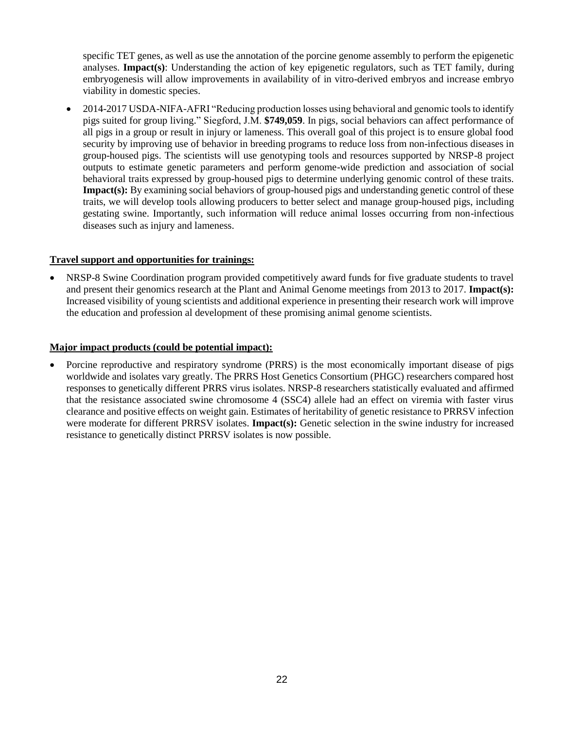specific TET genes, as well as use the annotation of the porcine genome assembly to perform the epigenetic analyses. **Impact(s)**: Understanding the action of key epigenetic regulators, such as TET family, during embryogenesis will allow improvements in availability of in vitro-derived embryos and increase embryo viability in domestic species.

• 2014-2017 USDA-NIFA-AFRI "Reducing production losses using behavioral and genomic tools to identify pigs suited for group living." Siegford, J.M. **\$749,059**. In pigs, social behaviors can affect performance of all pigs in a group or result in injury or lameness. This overall goal of this project is to ensure global food security by improving use of behavior in breeding programs to reduce loss from non-infectious diseases in group-housed pigs. The scientists will use genotyping tools and resources supported by NRSP-8 project outputs to estimate genetic parameters and perform genome-wide prediction and association of social behavioral traits expressed by group-housed pigs to determine underlying genomic control of these traits. **Impact(s):** By examining social behaviors of group-housed pigs and understanding genetic control of these traits, we will develop tools allowing producers to better select and manage group-housed pigs, including gestating swine. Importantly, such information will reduce animal losses occurring from non-infectious diseases such as injury and lameness.

## **Travel support and opportunities for trainings:**

• NRSP-8 Swine Coordination program provided competitively award funds for five graduate students to travel and present their genomics research at the Plant and Animal Genome meetings from 2013 to 2017. **Impact(s):** Increased visibility of young scientists and additional experience in presenting their research work will improve the education and profession al development of these promising animal genome scientists.

## **Major impact products (could be potential impact):**

• Porcine reproductive and respiratory syndrome (PRRS) is the most economically important disease of pigs worldwide and isolates vary greatly. The PRRS Host Genetics Consortium (PHGC) researchers compared host responses to genetically different PRRS virus isolates. NRSP-8 researchers statistically evaluated and affirmed that the resistance associated swine chromosome 4 (SSC4) allele had an effect on viremia with faster virus clearance and positive effects on weight gain. Estimates of heritability of genetic resistance to PRRSV infection were moderate for different PRRSV isolates. **Impact(s):** Genetic selection in the swine industry for increased resistance to genetically distinct PRRSV isolates is now possible.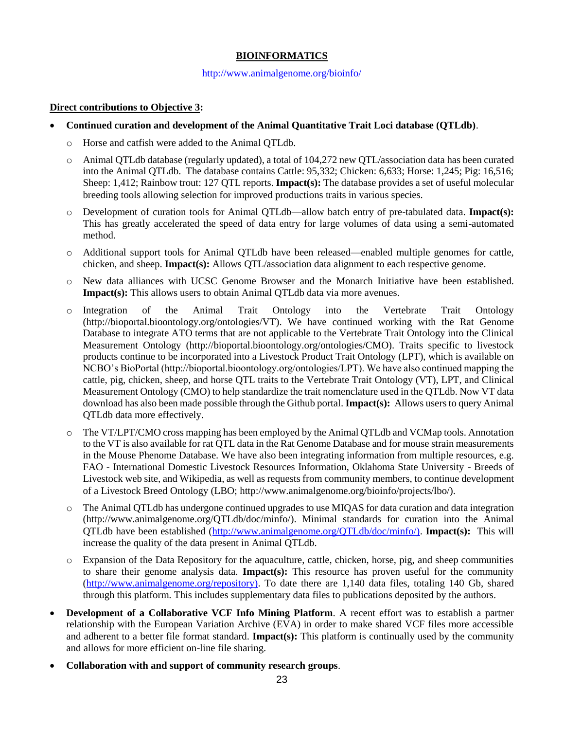# **BIOINFORMATICS**

#### http://www.animalgenome.org/bioinfo/

## **Direct contributions to Objective 3:**

- **Continued curation and development of the Animal Quantitative Trait Loci database (QTLdb)**.
	- o Horse and catfish were added to the Animal QTLdb.
	- o Animal QTLdb database (regularly updated), a total of 104,272 new QTL/association data has been curated into the Animal QTLdb. The database contains Cattle: 95,332; Chicken: 6,633; Horse: 1,245; Pig: 16,516; Sheep: 1,412; Rainbow trout: 127 QTL reports. **Impact(s):** The database provides a set of useful molecular breeding tools allowing selection for improved productions traits in various species.
	- o Development of curation tools for Animal QTLdb—allow batch entry of pre-tabulated data. **Impact(s):** This has greatly accelerated the speed of data entry for large volumes of data using a semi-automated method.
	- o Additional support tools for Animal QTLdb have been released—enabled multiple genomes for cattle, chicken, and sheep. **Impact(s):** Allows QTL/association data alignment to each respective genome.
	- o New data alliances with UCSC Genome Browser and the Monarch Initiative have been established. **Impact(s):** This allows users to obtain Animal QTLdb data via more avenues.
	- o Integration of the Animal Trait Ontology into the Vertebrate Trait Ontology (http://bioportal.bioontology.org/ontologies/VT). We have continued working with the Rat Genome Database to integrate ATO terms that are not applicable to the Vertebrate Trait Ontology into the Clinical Measurement Ontology (http://bioportal.bioontology.org/ontologies/CMO). Traits specific to livestock products continue to be incorporated into a Livestock Product Trait Ontology (LPT), which is available on NCBO's BioPortal (http://bioportal.bioontology.org/ontologies/LPT). We have also continued mapping the cattle, pig, chicken, sheep, and horse QTL traits to the Vertebrate Trait Ontology (VT), LPT, and Clinical Measurement Ontology (CMO) to help standardize the trait nomenclature used in the QTLdb. Now VT data download has also been made possible through the Github portal. **Impact(s):** Allows users to query Animal QTLdb data more effectively.
	- o The VT/LPT/CMO cross mapping has been employed by the Animal QTLdb and VCMap tools. Annotation to the VT is also available for rat QTL data in the Rat Genome Database and for mouse strain measurements in the Mouse Phenome Database. We have also been integrating information from multiple resources, e.g. FAO - International Domestic Livestock Resources Information, Oklahoma State University - Breeds of Livestock web site, and Wikipedia, as well as requests from community members, to continue development of a Livestock Breed Ontology (LBO; http://www.animalgenome.org/bioinfo/projects/lbo/).
	- o The Animal QTLdb has undergone continued upgrades to use MIQAS for data curation and data integration (http://www.animalgenome.org/QTLdb/doc/minfo/). Minimal standards for curation into the Animal QTLdb have been established [\(http://www.animalgenome.org/QTLdb/doc/minfo/\).](http://www.animalgenome.org/QTLdb/doc/minfo/)) **Impact(s):** This will increase the quality of the data present in Animal QTLdb.
	- o Expansion of the Data Repository for the aquaculture, cattle, chicken, horse, pig, and sheep communities to share their genome analysis data. **Impact(s):** This resource has proven useful for the community [\(http://www.animalgenome.org/repository\).](http://www.animalgenome.org/repository)) To date there are 1,140 data files, totaling 140 Gb, shared through this platform. This includes supplementary data files to publications deposited by the authors.
- **Development of a Collaborative VCF Info Mining Platform.** A recent effort was to establish a partner relationship with the European Variation Archive (EVA) in order to make shared VCF files more accessible and adherent to a better file format standard. **Impact(s):** This platform is continually used by the community and allows for more efficient on-line file sharing.
- **Collaboration with and support of community research groups**.